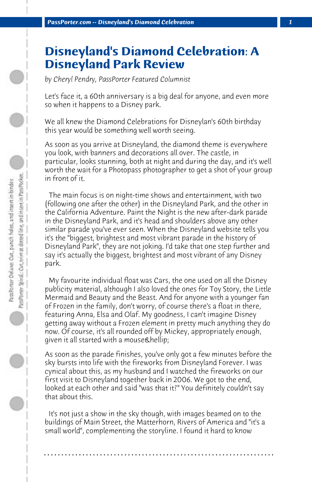## **Disneyland's Diamond Celebration: A Disneyland Park Review**

*by Cheryl Pendry, PassPorter Featured Columnist*

Let's face it, a 60th anniversary is a big deal for anyone, and even more so when it happens to a Disney park.

We all knew the Diamond Celebrations for Disneylan's 60th birthday this year would be something well worth seeing.

As soon as you arrive at Disneyland, the diamond theme is everywhere you look, with banners and decorations all over. The castle, in particular, looks stunning, both at night and during the day, and it's well worth the wait for a Photopass photographer to get a shot of your group in front of it.

 The main focus is on night-time shows and entertainment, with two (following one after the other) in the Disneyland Park, and the other in the California Adventure. Paint the Night is the new after-dark parade in the Disneyland Park, and it's head and shoulders above any other similar parade you've ever seen. When the Disneyland website tells you it's the "biggest, brightest and most vibrant parade in the history of Disneyland Park", they are not joking. I'd take that one step further and say it's actually the biggest, brightest and most vibrant of any Disney park.

 My favourite individual float was Cars, the one used on all the Disney publicity material, although I also loved the ones for Toy Story, the Little Mermaid and Beauty and the Beast. And for anyone with a younger fan of Frozen in the family, don't worry, of course there's a float in there, featuring Anna, Elsa and Olaf. My goodness, I can't imagine Disney getting away without a Frozen element in pretty much anything they do now. Of course, it's all rounded off by Mickey, appropriately enough, given it all started with a mouse & hellip;

As soon as the parade finishes, you've only got a few minutes before the sky bursts into life with the fireworks from Disneyland Forever. I was cynical about this, as my husband and I watched the fireworks on our first visit to Disneyland together back in 2006. We got to the end, looked at each other and said "was that it?" You definitely couldn't say that about this.

 It's not just a show in the sky though, with images beamed on to the buildings of Main Street, the Matterhorn, Rivers of America and "it's a small world", complementing the storyline. I found it hard to know

**. . . . . . . . . . . . . . . . . . . . . . . . . . . . . . . . . . . . . . . . . . . . . . . . . . . . . . . . . . . . . . . . . .**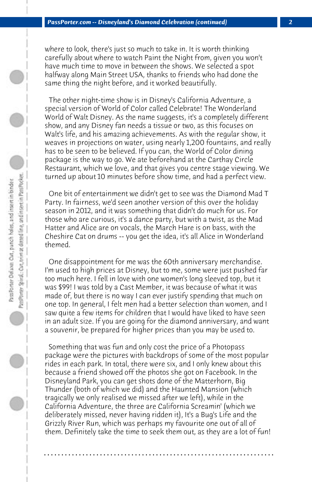where to look, there's just so much to take in. It is worth thinking carefully about where to watch Paint the Night from, given you won't have much time to move in between the shows. We selected a spot halfway along Main Street USA, thanks to friends who had done the same thing the night before, and it worked beautifully.

 The other night-time show is in Disney's California Adventure, a special version of World of Color called Celebrate! The Wonderland World of Walt Disney. As the name suggests, it's a completely different show, and any Disney fan needs a tissue or two, as this focuses on Walt's life, and his amazing achievements. As with the regular show, it weaves in projections on water, using nearly 1,200 fountains, and really has to be seen to be believed. If you can, the World of Color dining package is the way to go. We ate beforehand at the Carthay Circle Restaurant, which we love, and that gives you centre stage viewing. We turned up about 10 minutes before show time, and had a perfect view.

 One bit of entertainment we didn't get to see was the Diamond Mad T Party. In fairness, we'd seen another version of this over the holiday season in 2012, and it was something that didn't do much for us. For those who are curious, it's a dance party, but with a twist, as the Mad Hatter and Alice are on vocals, the March Hare is on bass, with the Cheshire Cat on drums -- you get the idea, it's all Alice in Wonderland themed.

 One disappointment for me was the 60th anniversary merchandise. I'm used to high prices at Disney, but to me, some were just pushed far too much here. I fell in love with one women's long sleeved top, but it was \$99! I was told by a Cast Member, it was because of what it was made of, but there is no way I can ever justify spending that much on one top. In general, I felt men had a better selection than women, and I saw quite a few items for children that I would have liked to have seen in an adult size. If you are going for the diamond anniversary, and want a souvenir, be prepared for higher prices than you may be used to.

 Something that was fun and only cost the price of a Photopass package were the pictures with backdrops of some of the most popular rides in each park. In total, there were six, and I only knew about this because a friend showed off the photos she got on Facebook. In the Disneyland Park, you can get shots done of the Matterhorn, Big Thunder (both of which we did) and the Haunted Mansion (which tragically we only realised we missed after we left), while in the California Adventure, the three are California Screamin' (which we deliberately missed, never having ridden it), It's a Bug's Life and the Grizzly River Run, which was perhaps my favourite one out of all of them. Definitely take the time to seek them out, as they are a lot of fun!

**. . . . . . . . . . . . . . . . . . . . . . . . . . . . . . . . . . . . . . . . . . . . . . . . . . . . . . . . . . . . . . . . . .**